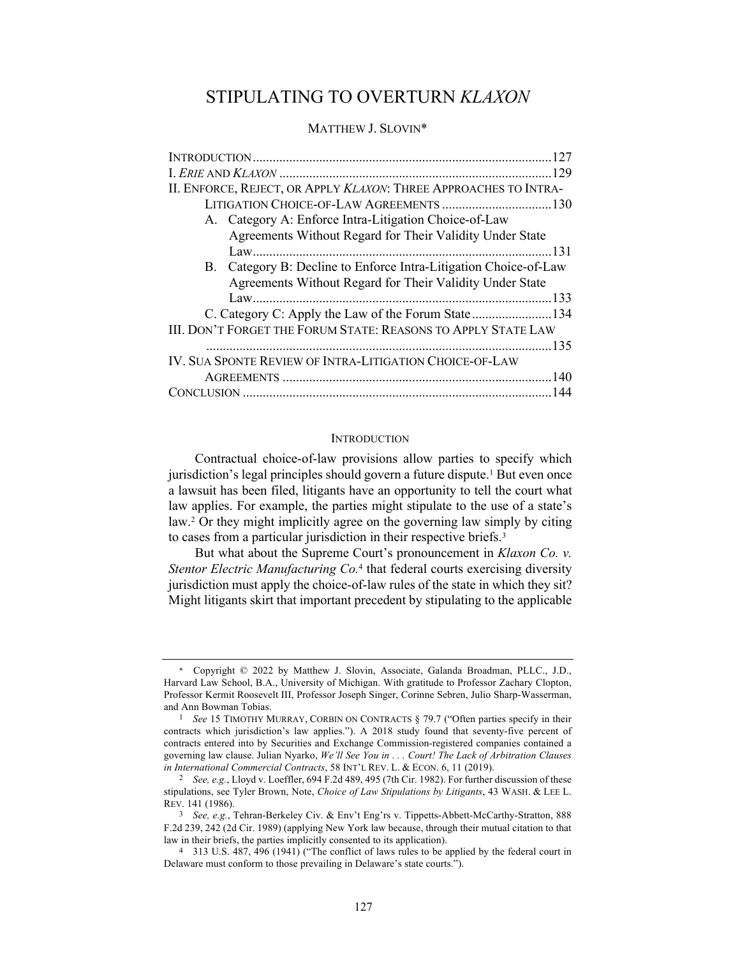# STIPULATING TO OVERTURN *KLAXON*

# MATTHEW J. SLOVIN\*

| II. ENFORCE, REJECT, OR APPLY KLAXON: THREE APPROACHES TO INTRA- |
|------------------------------------------------------------------|
|                                                                  |
| A. Category A: Enforce Intra-Litigation Choice-of-Law            |
| Agreements Without Regard for Their Validity Under State         |
|                                                                  |
| B. Category B: Decline to Enforce Intra-Litigation Choice-of-Law |
| Agreements Without Regard for Their Validity Under State         |
|                                                                  |
| C. Category C: Apply the Law of the Forum State134               |
| III. DON'T FORGET THE FORUM STATE: REASONS TO APPLY STATE LAW    |
|                                                                  |
| IV. SUA SPONTE REVIEW OF INTRA-LITIGATION CHOICE-OF-LAW          |
|                                                                  |
|                                                                  |

#### **INTRODUCTION**

Contractual choice-of-law provisions allow parties to specify which jurisdiction's legal principles should govern a future dispute.<sup>1</sup> But even once a lawsuit has been filed, litigants have an opportunity to tell the court what law applies. For example, the parties might stipulate to the use of a state's law.2 Or they might implicitly agree on the governing law simply by citing to cases from a particular jurisdiction in their respective briefs.<sup>3</sup>

But what about the Supreme Court's pronouncement in *Klaxon Co. v. Stentor Electric Manufacturing Co.*<sup>4</sup> that federal courts exercising diversity jurisdiction must apply the choice-of-law rules of the state in which they sit? Might litigants skirt that important precedent by stipulating to the applicable

Copyright © 2022 by Matthew J. Slovin, Associate, Galanda Broadman, PLLC., J.D., Harvard Law School, B.A., University of Michigan. With gratitude to Professor Zachary Clopton, Professor Kermit Roosevelt III, Professor Joseph Singer, Corinne Sebren, Julio Sharp-Wasserman, and Ann Bowman Tobias.

<sup>1</sup> *See* 15 TIMOTHY MURRAY, CORBIN ON CONTRACTS § 79.7 ("Often parties specify in their contracts which jurisdiction's law applies."). A 2018 study found that seventy-five percent of contracts entered into by Securities and Exchange Commission-registered companies contained a governing law clause. Julian Nyarko, *We'll See You in . . . Court! The Lack of Arbitration Clauses in International Commercial Contracts*, 58 INT'L REV. L. & ECON. 6, 11 (2019).

<sup>2</sup> *See, e.g.*, Lloyd v. Loeffler, 694 F.2d 489, 495 (7th Cir. 1982). For further discussion of these stipulations, see Tyler Brown, Note, *Choice of Law Stipulations by Litigants*, 43 WASH. & LEE L. REV. 141 (1986).

<sup>3</sup> *See, e.g.*, Tehran-Berkeley Civ. & Env't Eng'rs v. Tippetts-Abbett-McCarthy-Stratton, 888 F.2d 239, 242 (2d Cir. 1989) (applying New York law because, through their mutual citation to that law in their briefs, the parties implicitly consented to its application).

<sup>4</sup> 313 U.S. 487, 496 (1941) ("The conflict of laws rules to be applied by the federal court in Delaware must conform to those prevailing in Delaware's state courts.").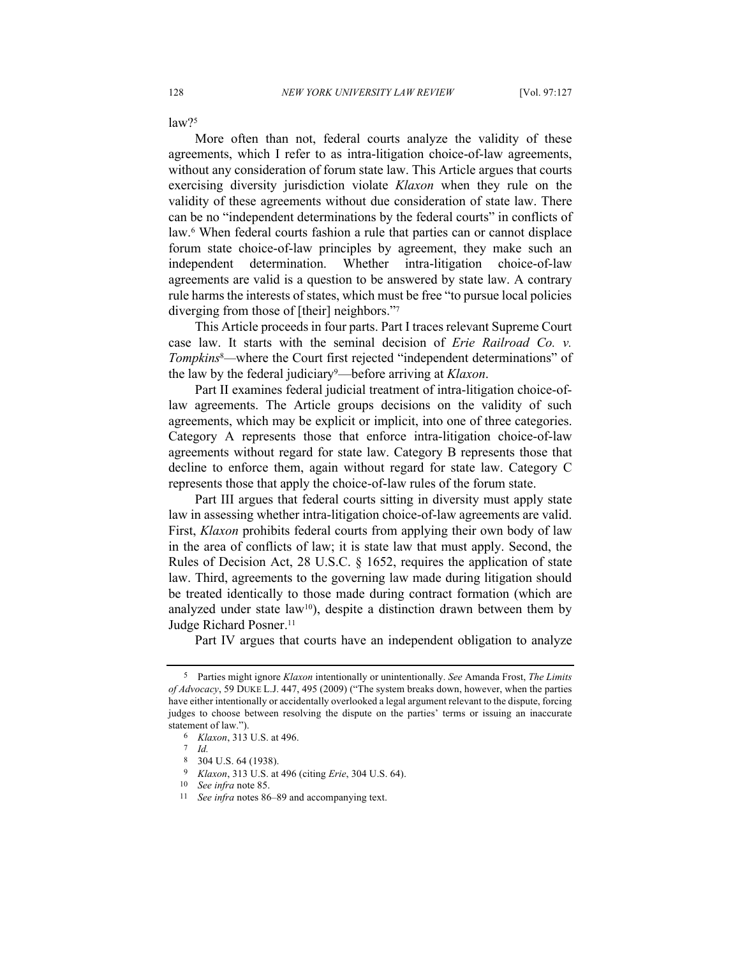law?5

More often than not, federal courts analyze the validity of these agreements, which I refer to as intra-litigation choice-of-law agreements, without any consideration of forum state law. This Article argues that courts exercising diversity jurisdiction violate *Klaxon* when they rule on the validity of these agreements without due consideration of state law. There can be no "independent determinations by the federal courts" in conflicts of law.<sup>6</sup> When federal courts fashion a rule that parties can or cannot displace forum state choice-of-law principles by agreement, they make such an independent determination. Whether intra-litigation choice-of-law agreements are valid is a question to be answered by state law. A contrary rule harms the interests of states, which must be free "to pursue local policies diverging from those of [their] neighbors."7

This Article proceeds in four parts. Part I traces relevant Supreme Court case law. It starts with the seminal decision of *Erie Railroad Co. v. Tompkins*8*—*where the Court first rejected "independent determinations" of the law by the federal judiciary9—before arriving at *Klaxon*.

Part II examines federal judicial treatment of intra-litigation choice-oflaw agreements. The Article groups decisions on the validity of such agreements, which may be explicit or implicit, into one of three categories. Category A represents those that enforce intra-litigation choice-of-law agreements without regard for state law. Category B represents those that decline to enforce them, again without regard for state law. Category C represents those that apply the choice-of-law rules of the forum state.

Part III argues that federal courts sitting in diversity must apply state law in assessing whether intra-litigation choice-of-law agreements are valid. First, *Klaxon* prohibits federal courts from applying their own body of law in the area of conflicts of law; it is state law that must apply. Second, the Rules of Decision Act, 28 U.S.C. § 1652, requires the application of state law. Third, agreements to the governing law made during litigation should be treated identically to those made during contract formation (which are analyzed under state law<sup>10</sup>), despite a distinction drawn between them by Judge Richard Posner. 11

Part IV argues that courts have an independent obligation to analyze

<sup>5</sup> Parties might ignore *Klaxon* intentionally or unintentionally. *See* Amanda Frost, *The Limits of Advocacy*, 59 DUKE L.J. 447, 495 (2009) ("The system breaks down, however, when the parties have either intentionally or accidentally overlooked a legal argument relevant to the dispute, forcing judges to choose between resolving the dispute on the parties' terms or issuing an inaccurate statement of law.").

<sup>6</sup> *Klaxon*, 313 U.S. at 496.

<sup>7</sup> *Id.*

<sup>8</sup> 304 U.S. 64 (1938).

<sup>9</sup> *Klaxon*, 313 U.S. at 496 (citing *Erie*, 304 U.S. 64).

<sup>10</sup> *See infra* note 85.

<sup>11</sup> *See infra* notes 86–89 and accompanying text.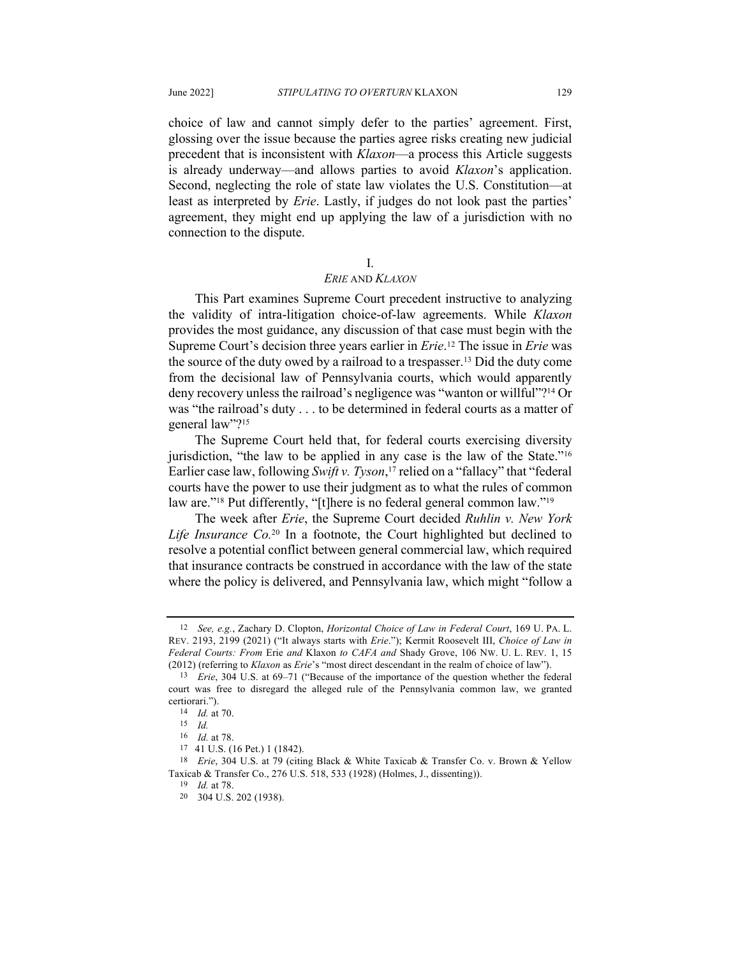choice of law and cannot simply defer to the parties' agreement. First, glossing over the issue because the parties agree risks creating new judicial precedent that is inconsistent with *Klaxon*—a process this Article suggests is already underway—and allows parties to avoid *Klaxon*'s application. Second, neglecting the role of state law violates the U.S. Constitution—at least as interpreted by *Erie*. Lastly, if judges do not look past the parties' agreement, they might end up applying the law of a jurisdiction with no connection to the dispute.

#### I.

### *ERIE* AND *KLAXON*

This Part examines Supreme Court precedent instructive to analyzing the validity of intra-litigation choice-of-law agreements. While *Klaxon* provides the most guidance, any discussion of that case must begin with the Supreme Court's decision three years earlier in *Erie*. <sup>12</sup> The issue in *Erie* was the source of the duty owed by a railroad to a trespasser.13 Did the duty come from the decisional law of Pennsylvania courts, which would apparently deny recovery unless the railroad's negligence was "wanton or willful"?<sup>14</sup> Or was "the railroad's duty . . . to be determined in federal courts as a matter of general law"?<sup>15</sup>

The Supreme Court held that, for federal courts exercising diversity jurisdiction, "the law to be applied in any case is the law of the State."16 Earlier case law, following *Swift v. Tyson*, <sup>17</sup> relied on a "fallacy" that "federal courts have the power to use their judgment as to what the rules of common law are."<sup>18</sup> Put differently, "[t]here is no federal general common law."<sup>19</sup>

The week after *Erie*, the Supreme Court decided *Ruhlin v. New York Life Insurance Co.*<sup>20</sup> In a footnote, the Court highlighted but declined to resolve a potential conflict between general commercial law, which required that insurance contracts be construed in accordance with the law of the state where the policy is delivered, and Pennsylvania law, which might "follow a

<sup>12</sup> *See, e.g.*, Zachary D. Clopton, *Horizontal Choice of Law in Federal Court*, 169 U. PA. L. REV. 2193, 2199 (2021) ("It always starts with *Erie*."); Kermit Roosevelt III, *Choice of Law in Federal Courts: From* Erie *and* Klaxon *to CAFA and* Shady Grove, 106 NW. U. L. REV. 1, 15 (2012) (referring to *Klaxon* as *Erie*'s "most direct descendant in the realm of choice of law").

<sup>13</sup> *Erie*, 304 U.S. at 69–71 ("Because of the importance of the question whether the federal court was free to disregard the alleged rule of the Pennsylvania common law, we granted certiorari.").

<sup>14</sup> *Id.* at 70.

<sup>15</sup> *Id.*

<sup>16</sup> *Id.* at 78.

<sup>17</sup> 41 U.S. (16 Pet.) 1 (1842).

<sup>18</sup> *Erie*, 304 U.S. at 79 (citing Black & White Taxicab & Transfer Co. v. Brown & Yellow Taxicab & Transfer Co., 276 U.S. 518, 533 (1928) (Holmes, J., dissenting)).

<sup>19</sup> *Id.* at 78.

<sup>20</sup> 304 U.S. 202 (1938).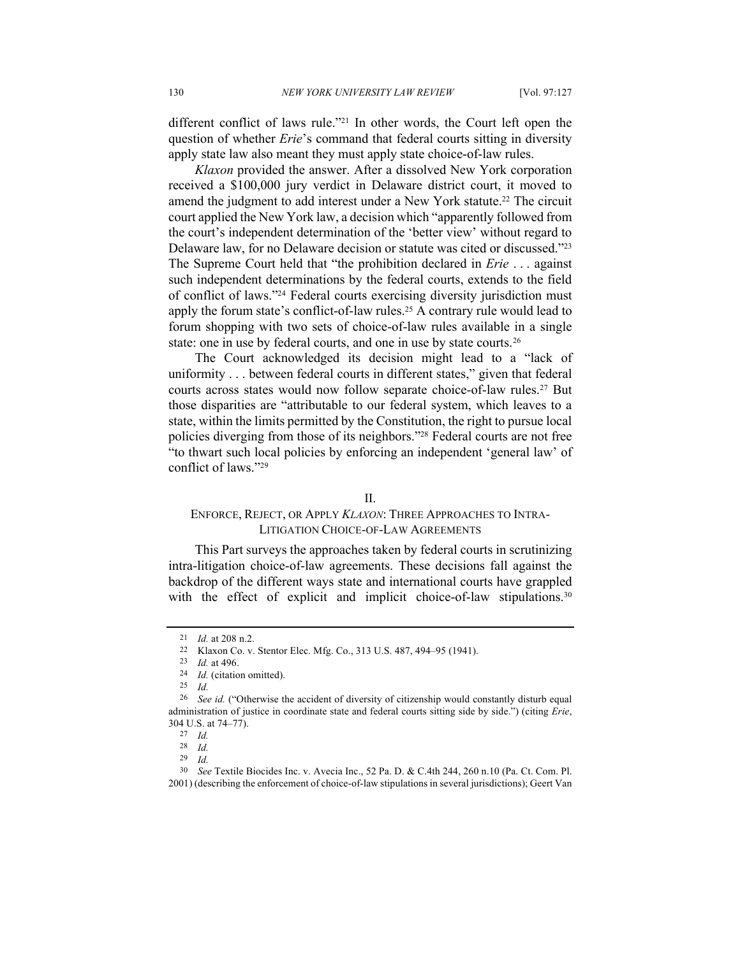different conflict of laws rule."21 In other words, the Court left open the question of whether *Erie*'s command that federal courts sitting in diversity apply state law also meant they must apply state choice-of-law rules.

*Klaxon* provided the answer. After a dissolved New York corporation received a \$100,000 jury verdict in Delaware district court, it moved to amend the judgment to add interest under a New York statute.22 The circuit court applied the New York law, a decision which "apparently followed from the court's independent determination of the 'better view' without regard to Delaware law, for no Delaware decision or statute was cited or discussed."23 The Supreme Court held that "the prohibition declared in *Erie* . . . against such independent determinations by the federal courts, extends to the field of conflict of laws."24 Federal courts exercising diversity jurisdiction must apply the forum state's conflict-of-law rules.25 A contrary rule would lead to forum shopping with two sets of choice-of-law rules available in a single state: one in use by federal courts, and one in use by state courts.26

The Court acknowledged its decision might lead to a "lack of uniformity . . . between federal courts in different states," given that federal courts across states would now follow separate choice-of-law rules.27 But those disparities are "attributable to our federal system, which leaves to a state, within the limits permitted by the Constitution, the right to pursue local policies diverging from those of its neighbors."28 Federal courts are not free "to thwart such local policies by enforcing an independent 'general law' of conflict of laws."29

# II.

# ENFORCE, REJECT, OR APPLY *KLAXON*: THREE APPROACHES TO INTRA-LITIGATION CHOICE-OF-LAW AGREEMENTS

This Part surveys the approaches taken by federal courts in scrutinizing intra-litigation choice-of-law agreements. These decisions fall against the backdrop of the different ways state and international courts have grappled with the effect of explicit and implicit choice-of-law stipulations.<sup>30</sup>

<sup>21</sup> *Id.* at 208 n.2.

<sup>22</sup> Klaxon Co. v. Stentor Elec. Mfg. Co., 313 U.S. 487, 494–95 (1941).

<sup>23</sup> *Id.* at 496.

<sup>24</sup> *Id.* (citation omitted).

<sup>25</sup> *Id.*

<sup>26</sup> *See id.* ("Otherwise the accident of diversity of citizenship would constantly disturb equal administration of justice in coordinate state and federal courts sitting side by side.") (citing *Erie*, 304 U.S. at 74–77).

<sup>27</sup> *Id.*

<sup>28</sup> *Id.*

<sup>29</sup> *Id.*

<sup>30</sup> *See* Textile Biocides Inc. v. Avecia Inc., 52 Pa. D. & C.4th 244, 260 n.10 (Pa. Ct. Com. Pl. 2001) (describing the enforcement of choice-of-law stipulations in several jurisdictions); Geert Van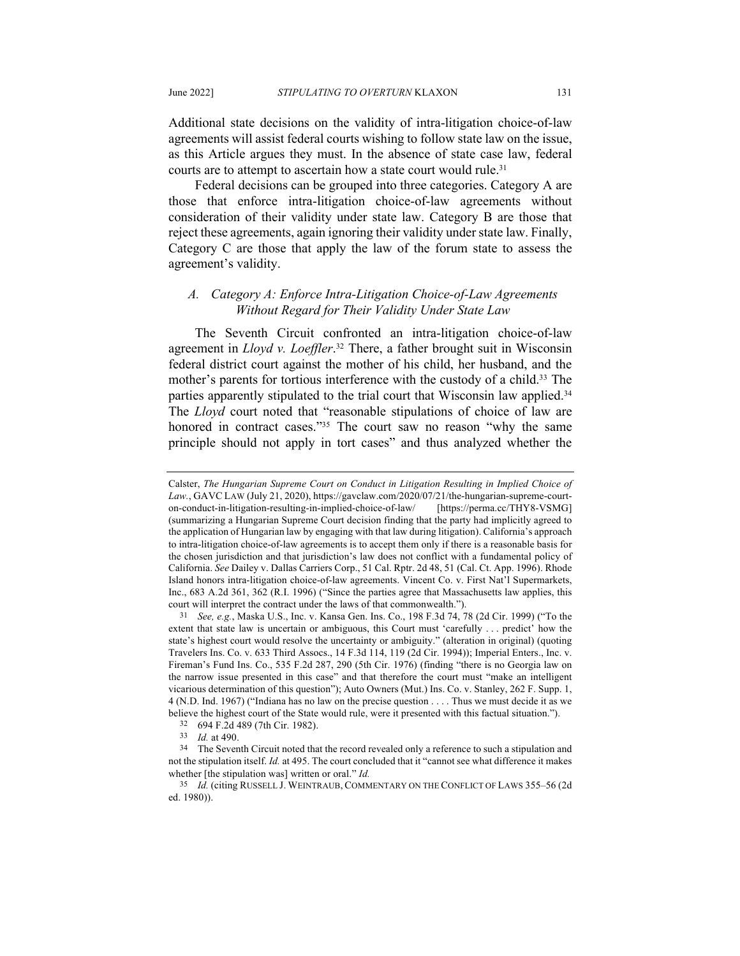Additional state decisions on the validity of intra-litigation choice-of-law agreements will assist federal courts wishing to follow state law on the issue, as this Article argues they must. In the absence of state case law, federal courts are to attempt to ascertain how a state court would rule.<sup>31</sup>

Federal decisions can be grouped into three categories. Category A are those that enforce intra-litigation choice-of-law agreements without consideration of their validity under state law. Category B are those that reject these agreements, again ignoring their validity under state law. Finally, Category C are those that apply the law of the forum state to assess the agreement's validity.

# *A. Category A: Enforce Intra-Litigation Choice-of-Law Agreements Without Regard for Their Validity Under State Law*

The Seventh Circuit confronted an intra-litigation choice-of-law agreement in *Lloyd v. Loeffler*. <sup>32</sup> There, a father brought suit in Wisconsin federal district court against the mother of his child, her husband, and the mother's parents for tortious interference with the custody of a child.<sup>33</sup> The parties apparently stipulated to the trial court that Wisconsin law applied.<sup>34</sup> The *Lloyd* court noted that "reasonable stipulations of choice of law are honored in contract cases."35 The court saw no reason "why the same principle should not apply in tort cases" and thus analyzed whether the

Calster, *The Hungarian Supreme Court on Conduct in Litigation Resulting in Implied Choice of Law.*, GAVC LAW (July 21, 2020), https://gavclaw.com/2020/07/21/the-hungarian-supreme-courton-conduct-in-litigation-resulting-in-implied-choice-of-law/ [https://perma.cc/THY8-VSMG] (summarizing a Hungarian Supreme Court decision finding that the party had implicitly agreed to the application of Hungarian law by engaging with that law during litigation). California's approach to intra-litigation choice-of-law agreements is to accept them only if there is a reasonable basis for the chosen jurisdiction and that jurisdiction's law does not conflict with a fundamental policy of California. *See* Dailey v. Dallas Carriers Corp., 51 Cal. Rptr. 2d 48, 51 (Cal. Ct. App. 1996). Rhode Island honors intra-litigation choice-of-law agreements. Vincent Co. v. First Nat'l Supermarkets, Inc., 683 A.2d 361, 362 (R.I. 1996) ("Since the parties agree that Massachusetts law applies, this court will interpret the contract under the laws of that commonwealth.").

<sup>31</sup> *See, e.g.*, Maska U.S., Inc. v. Kansa Gen. Ins. Co., 198 F.3d 74, 78 (2d Cir. 1999) ("To the extent that state law is uncertain or ambiguous, this Court must 'carefully . . . predict' how the state's highest court would resolve the uncertainty or ambiguity." (alteration in original) (quoting Travelers Ins. Co. v. 633 Third Assocs., 14 F.3d 114, 119 (2d Cir. 1994)); Imperial Enters., Inc. v. Fireman's Fund Ins. Co., 535 F.2d 287, 290 (5th Cir. 1976) (finding "there is no Georgia law on the narrow issue presented in this case" and that therefore the court must "make an intelligent vicarious determination of this question"); Auto Owners (Mut.) Ins. Co. v. Stanley, 262 F. Supp. 1, 4 (N.D. Ind. 1967) ("Indiana has no law on the precise question . . . . Thus we must decide it as we believe the highest court of the State would rule, were it presented with this factual situation.").

<sup>32</sup> 694 F.2d 489 (7th Cir. 1982).

<sup>33</sup> *Id.* at 490.

<sup>&</sup>lt;sup>34</sup> The Seventh Circuit noted that the record revealed only a reference to such a stipulation and not the stipulation itself. *Id.* at 495. The court concluded that it "cannot see what difference it makes whether [the stipulation was] written or oral." *Id.*

<sup>35</sup> *Id.* (citing RUSSELL J. WEINTRAUB, COMMENTARY ON THE CONFLICT OF LAWS 355–56 (2d ed. 1980)).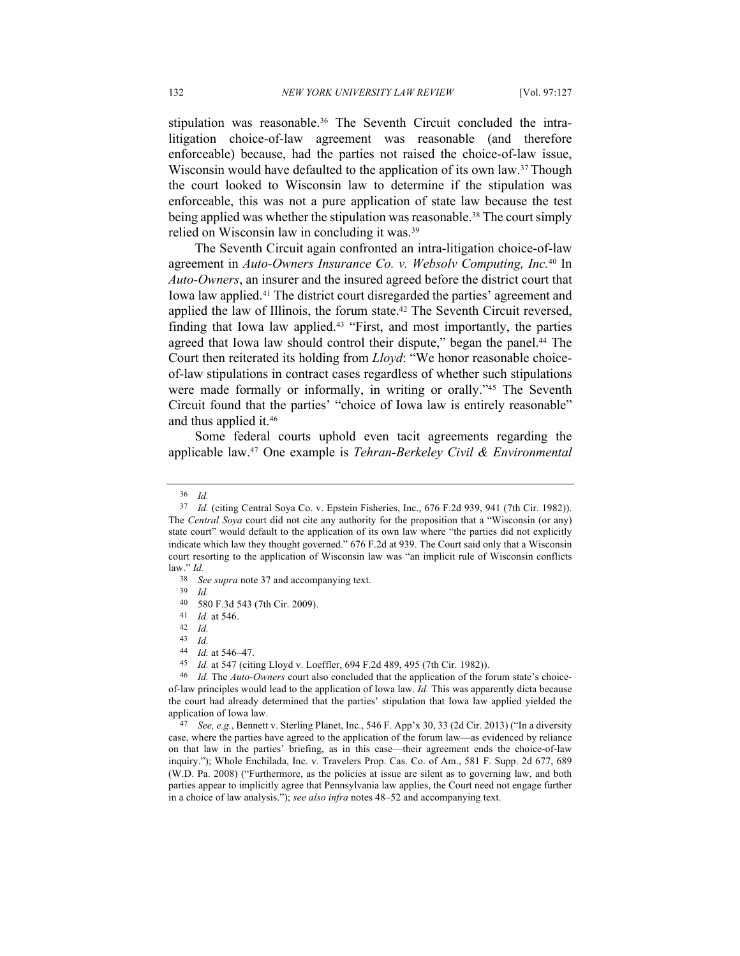stipulation was reasonable.36 The Seventh Circuit concluded the intralitigation choice-of-law agreement was reasonable (and therefore enforceable) because, had the parties not raised the choice-of-law issue, Wisconsin would have defaulted to the application of its own law.<sup>37</sup> Though the court looked to Wisconsin law to determine if the stipulation was enforceable, this was not a pure application of state law because the test being applied was whether the stipulation was reasonable.<sup>38</sup> The court simply relied on Wisconsin law in concluding it was.39

The Seventh Circuit again confronted an intra-litigation choice-of-law agreement in *Auto-Owners Insurance Co. v. Websolv Computing, Inc.*<sup>40</sup> In *Auto-Owners*, an insurer and the insured agreed before the district court that Iowa law applied.41 The district court disregarded the parties' agreement and applied the law of Illinois, the forum state.42 The Seventh Circuit reversed, finding that Iowa law applied. <sup>43</sup> "First, and most importantly, the parties agreed that Iowa law should control their dispute," began the panel.<sup>44</sup> The Court then reiterated its holding from *Lloyd*: "We honor reasonable choiceof-law stipulations in contract cases regardless of whether such stipulations were made formally or informally, in writing or orally."45 The Seventh Circuit found that the parties' "choice of Iowa law is entirely reasonable" and thus applied it.46

Some federal courts uphold even tacit agreements regarding the applicable law.47 One example is *Tehran-Berkeley Civil & Environmental* 

<sup>36</sup> *Id.*

<sup>37</sup> *Id.* (citing Central Soya Co. v. Epstein Fisheries, Inc., 676 F.2d 939, 941 (7th Cir. 1982)). The *Central Soya* court did not cite any authority for the proposition that a "Wisconsin (or any) state court" would default to the application of its own law where "the parties did not explicitly indicate which law they thought governed." 676 F.2d at 939. The Court said only that a Wisconsin court resorting to the application of Wisconsin law was "an implicit rule of Wisconsin conflicts law." *Id.*

<sup>38</sup> *See supra* note 37 and accompanying text.

<sup>39</sup> *Id.*

<sup>40</sup> 580 F.3d 543 (7th Cir. 2009).

<sup>41</sup> *Id.* at 546.

<sup>42</sup> *Id.*

<sup>43</sup> *Id.*

<sup>44</sup> *Id.* at 546–47.

<sup>45</sup> *Id.* at 547 (citing Lloyd v. Loeffler, 694 F.2d 489, 495 (7th Cir. 1982)).

<sup>46</sup> *Id.* The *Auto-Owners* court also concluded that the application of the forum state's choiceof-law principles would lead to the application of Iowa law. *Id.* This was apparently dicta because the court had already determined that the parties' stipulation that Iowa law applied yielded the application of Iowa law.

<sup>47</sup> *See, e.g.*, Bennett v. Sterling Planet, Inc., 546 F. App'x 30, 33 (2d Cir. 2013) ("In a diversity case, where the parties have agreed to the application of the forum law—as evidenced by reliance on that law in the parties' briefing, as in this case—their agreement ends the choice-of-law inquiry."); Whole Enchilada, Inc. v. Travelers Prop. Cas. Co. of Am., 581 F. Supp. 2d 677, 689 (W.D. Pa. 2008) ("Furthermore, as the policies at issue are silent as to governing law, and both parties appear to implicitly agree that Pennsylvania law applies, the Court need not engage further in a choice of law analysis."); *see also infra* notes 48–52 and accompanying text.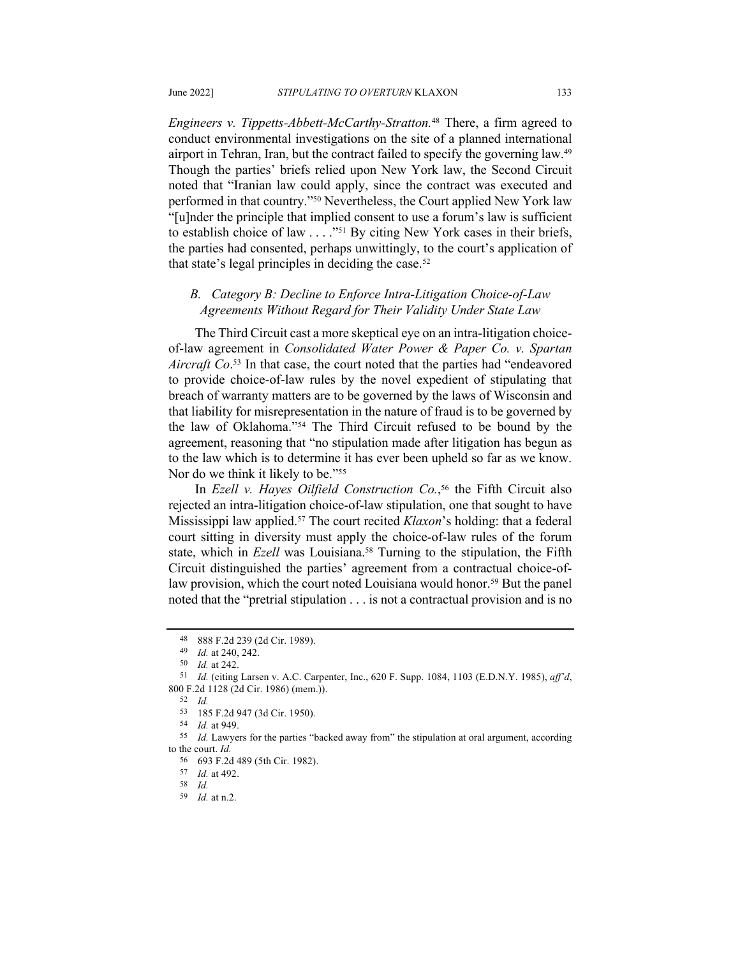*Engineers v. Tippetts-Abbett-McCarthy-Stratton.*<sup>48</sup> There, a firm agreed to conduct environmental investigations on the site of a planned international airport in Tehran, Iran, but the contract failed to specify the governing law.49 Though the parties' briefs relied upon New York law, the Second Circuit noted that "Iranian law could apply, since the contract was executed and performed in that country."50 Nevertheless, the Court applied New York law "[u]nder the principle that implied consent to use a forum's law is sufficient to establish choice of law . . . . "<sup>51</sup> By citing New York cases in their briefs, the parties had consented, perhaps unwittingly, to the court's application of that state's legal principles in deciding the case.<sup>52</sup>

# *B. Category B: Decline to Enforce Intra-Litigation Choice-of-Law Agreements Without Regard for Their Validity Under State Law*

The Third Circuit cast a more skeptical eye on an intra-litigation choiceof-law agreement in *Consolidated Water Power & Paper Co. v. Spartan Aircraft Co*. <sup>53</sup> In that case, the court noted that the parties had "endeavored to provide choice-of-law rules by the novel expedient of stipulating that breach of warranty matters are to be governed by the laws of Wisconsin and that liability for misrepresentation in the nature of fraud is to be governed by the law of Oklahoma."54 The Third Circuit refused to be bound by the agreement, reasoning that "no stipulation made after litigation has begun as to the law which is to determine it has ever been upheld so far as we know. Nor do we think it likely to be."55

In *Ezell v. Hayes Oilfield Construction Co.*, <sup>56</sup> the Fifth Circuit also rejected an intra-litigation choice-of-law stipulation, one that sought to have Mississippi law applied.57 The court recited *Klaxon*'s holding: that a federal court sitting in diversity must apply the choice-of-law rules of the forum state, which in *Ezell* was Louisiana.<sup>58</sup> Turning to the stipulation, the Fifth Circuit distinguished the parties' agreement from a contractual choice-oflaw provision, which the court noted Louisiana would honor.<sup>59</sup> But the panel noted that the "pretrial stipulation . . . is not a contractual provision and is no

<sup>48</sup> 888 F.2d 239 (2d Cir. 1989).

<sup>49</sup> *Id.* at 240, 242.

<sup>50</sup> *Id.* at 242.

<sup>51</sup> *Id.* (citing Larsen v. A.C. Carpenter, Inc., 620 F. Supp. 1084, 1103 (E.D.N.Y. 1985), *aff'd*, 800 F.2d 1128 (2d Cir. 1986) (mem.)).

<sup>52</sup> *Id.*

<sup>53</sup> 185 F.2d 947 (3d Cir. 1950).

<sup>54</sup> *Id.* at 949.

<sup>55</sup> *Id.* Lawyers for the parties "backed away from" the stipulation at oral argument, according to the court. *Id.* 

<sup>56</sup> 693 F.2d 489 (5th Cir. 1982).

<sup>57</sup> *Id.* at 492.

<sup>58</sup> *Id.*

<sup>59</sup> *Id.* at n.2.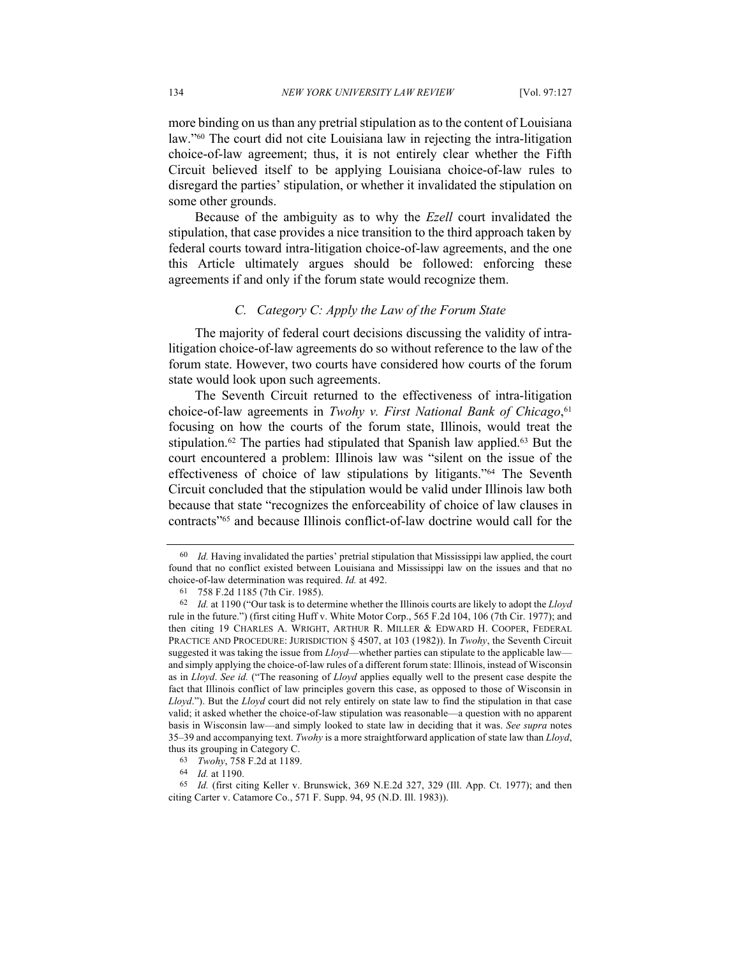more binding on us than any pretrial stipulation as to the content of Louisiana law."60 The court did not cite Louisiana law in rejecting the intra-litigation choice-of-law agreement; thus, it is not entirely clear whether the Fifth Circuit believed itself to be applying Louisiana choice-of-law rules to disregard the parties' stipulation, or whether it invalidated the stipulation on some other grounds.

Because of the ambiguity as to why the *Ezell* court invalidated the stipulation, that case provides a nice transition to the third approach taken by federal courts toward intra-litigation choice-of-law agreements, and the one this Article ultimately argues should be followed: enforcing these agreements if and only if the forum state would recognize them.

#### *C. Category C: Apply the Law of the Forum State*

The majority of federal court decisions discussing the validity of intralitigation choice-of-law agreements do so without reference to the law of the forum state. However, two courts have considered how courts of the forum state would look upon such agreements.

The Seventh Circuit returned to the effectiveness of intra-litigation choice-of-law agreements in *Twohy v. First National Bank of Chicago*, 61 focusing on how the courts of the forum state, Illinois, would treat the stipulation.<sup>62</sup> The parties had stipulated that Spanish law applied.<sup>63</sup> But the court encountered a problem: Illinois law was "silent on the issue of the effectiveness of choice of law stipulations by litigants."64 The Seventh Circuit concluded that the stipulation would be valid under Illinois law both because that state "recognizes the enforceability of choice of law clauses in contracts"65 and because Illinois conflict-of-law doctrine would call for the

<sup>60</sup> *Id.* Having invalidated the parties' pretrial stipulation that Mississippi law applied, the court found that no conflict existed between Louisiana and Mississippi law on the issues and that no choice-of-law determination was required. *Id.* at 492.

<sup>61</sup> 758 F.2d 1185 (7th Cir. 1985).

<sup>62</sup> *Id.* at 1190 ("Our task is to determine whether the Illinois courts are likely to adopt the *Lloyd* rule in the future.") (first citing Huff v. White Motor Corp., 565 F.2d 104, 106 (7th Cir. 1977); and then citing 19 CHARLES A. WRIGHT, ARTHUR R. MILLER & EDWARD H. COOPER, FEDERAL PRACTICE AND PROCEDURE: JURISDICTION § 4507, at 103 (1982)). In *Twohy*, the Seventh Circuit suggested it was taking the issue from *Lloyd*—whether parties can stipulate to the applicable law and simply applying the choice-of-law rules of a different forum state: Illinois, instead of Wisconsin as in *Lloyd*. *See id.* ("The reasoning of *Lloyd* applies equally well to the present case despite the fact that Illinois conflict of law principles govern this case, as opposed to those of Wisconsin in *Lloyd*."). But the *Lloyd* court did not rely entirely on state law to find the stipulation in that case valid; it asked whether the choice-of-law stipulation was reasonable—a question with no apparent basis in Wisconsin law—and simply looked to state law in deciding that it was. *See supra* notes 35–39 and accompanying text. *Twohy* is a more straightforward application of state law than *Lloyd*, thus its grouping in Category C.

<sup>63</sup> *Twohy*, 758 F.2d at 1189.

<sup>64</sup> *Id.* at 1190.

<sup>65</sup> *Id.* (first citing Keller v. Brunswick, 369 N.E.2d 327, 329 (Ill. App. Ct. 1977); and then citing Carter v. Catamore Co., 571 F. Supp. 94, 95 (N.D. Ill. 1983)).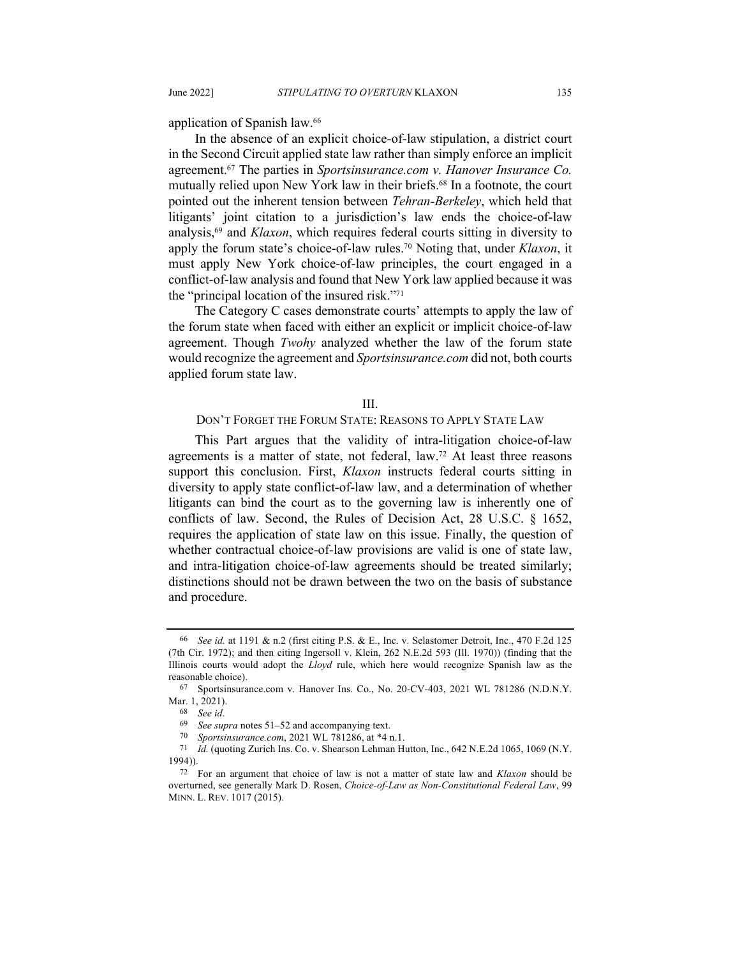application of Spanish law. 66

In the absence of an explicit choice-of-law stipulation, a district court in the Second Circuit applied state law rather than simply enforce an implicit agreement.67 The parties in *Sportsinsurance.com v. Hanover Insurance Co.* mutually relied upon New York law in their briefs.68 In a footnote, the court pointed out the inherent tension between *Tehran-Berkeley*, which held that litigants' joint citation to a jurisdiction's law ends the choice-of-law analysis,69 and *Klaxon*, which requires federal courts sitting in diversity to apply the forum state's choice-of-law rules.70 Noting that, under *Klaxon*, it must apply New York choice-of-law principles, the court engaged in a conflict-of-law analysis and found that New York law applied because it was the "principal location of the insured risk."71

The Category C cases demonstrate courts' attempts to apply the law of the forum state when faced with either an explicit or implicit choice-of-law agreement. Though *Twohy* analyzed whether the law of the forum state would recognize the agreement and *Sportsinsurance.com* did not, both courts applied forum state law.

#### III.

#### DON'T FORGET THE FORUM STATE: REASONS TO APPLY STATE LAW

This Part argues that the validity of intra-litigation choice-of-law agreements is a matter of state, not federal, law.72 At least three reasons support this conclusion. First, *Klaxon* instructs federal courts sitting in diversity to apply state conflict-of-law law, and a determination of whether litigants can bind the court as to the governing law is inherently one of conflicts of law. Second, the Rules of Decision Act, 28 U.S.C. § 1652, requires the application of state law on this issue. Finally, the question of whether contractual choice-of-law provisions are valid is one of state law, and intra-litigation choice-of-law agreements should be treated similarly; distinctions should not be drawn between the two on the basis of substance and procedure.

<sup>66</sup> *See id.* at 1191 & n.2 (first citing P.S. & E., Inc. v. Selastomer Detroit, Inc., 470 F.2d 125 (7th Cir. 1972); and then citing Ingersoll v. Klein, 262 N.E.2d 593 (Ill. 1970)) (finding that the Illinois courts would adopt the *Lloyd* rule, which here would recognize Spanish law as the reasonable choice).

<sup>67</sup> Sportsinsurance.com v. Hanover Ins. Co., No. 20-CV-403, 2021 WL 781286 (N.D.N.Y. Mar. 1, 2021).

<sup>68</sup> *See id*.

<sup>69</sup> *See supra* notes 51–52 and accompanying text.

<sup>70</sup> *Sportsinsurance.com*, 2021 WL 781286, at \*4 n.1.

<sup>71</sup> *Id.* (quoting Zurich Ins. Co. v. Shearson Lehman Hutton, Inc., 642 N.E.2d 1065, 1069 (N.Y. 1994)).

<sup>72</sup> For an argument that choice of law is not a matter of state law and *Klaxon* should be overturned, see generally Mark D. Rosen, *Choice-of-Law as Non-Constitutional Federal Law*, 99 MINN. L. REV. 1017 (2015).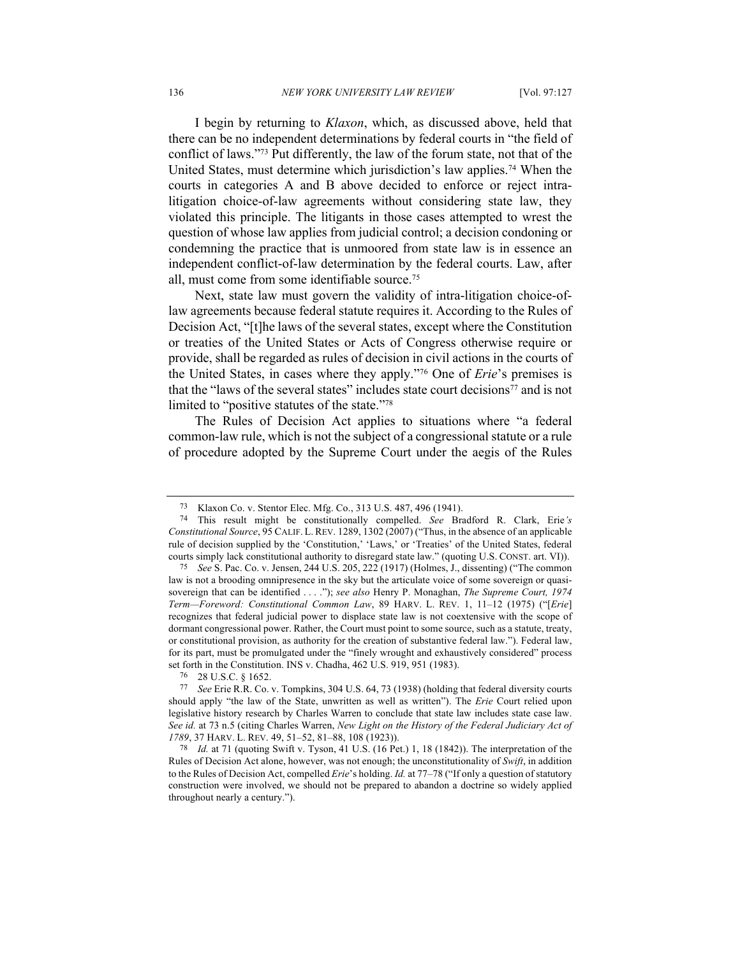I begin by returning to *Klaxon*, which, as discussed above, held that there can be no independent determinations by federal courts in "the field of conflict of laws."73 Put differently, the law of the forum state, not that of the United States, must determine which jurisdiction's law applies.74 When the courts in categories A and B above decided to enforce or reject intralitigation choice-of-law agreements without considering state law, they violated this principle. The litigants in those cases attempted to wrest the question of whose law applies from judicial control; a decision condoning or condemning the practice that is unmoored from state law is in essence an independent conflict-of-law determination by the federal courts. Law, after all, must come from some identifiable source.75

Next, state law must govern the validity of intra-litigation choice-oflaw agreements because federal statute requires it. According to the Rules of Decision Act, "[t]he laws of the several states, except where the Constitution or treaties of the United States or Acts of Congress otherwise require or provide, shall be regarded as rules of decision in civil actions in the courts of the United States, in cases where they apply."76 One of *Erie*'s premises is that the "laws of the several states" includes state court decisions<sup>77</sup> and is not limited to "positive statutes of the state."78

The Rules of Decision Act applies to situations where "a federal common-law rule, which is not the subject of a congressional statute or a rule of procedure adopted by the Supreme Court under the aegis of the Rules

<sup>73</sup> Klaxon Co. v. Stentor Elec. Mfg. Co., 313 U.S. 487, 496 (1941).

<sup>74</sup> This result might be constitutionally compelled. *See* Bradford R. Clark, Erie*'s Constitutional Source*, 95 CALIF. L. REV. 1289, 1302 (2007) ("Thus, in the absence of an applicable rule of decision supplied by the 'Constitution,' 'Laws,' or 'Treaties' of the United States, federal courts simply lack constitutional authority to disregard state law." (quoting U.S. CONST. art. VI)).

<sup>75</sup> *See* S. Pac. Co. v. Jensen, 244 U.S. 205, 222 (1917) (Holmes, J., dissenting) ("The common law is not a brooding omnipresence in the sky but the articulate voice of some sovereign or quasisovereign that can be identified . . . ."); *see also* Henry P. Monaghan, *The Supreme Court, 1974 Term—Foreword: Constitutional Common Law*, 89 HARV. L. REV. 1, 11–12 (1975) ("[*Erie*] recognizes that federal judicial power to displace state law is not coextensive with the scope of dormant congressional power. Rather, the Court must point to some source, such as a statute, treaty, or constitutional provision, as authority for the creation of substantive federal law."). Federal law, for its part, must be promulgated under the "finely wrought and exhaustively considered" process set forth in the Constitution. INS v. Chadha, 462 U.S. 919, 951 (1983).

<sup>76</sup> 28 U.S.C. § 1652.

<sup>77</sup> *See* Erie R.R. Co. v. Tompkins, 304 U.S. 64, 73 (1938) (holding that federal diversity courts should apply "the law of the State, unwritten as well as written"). The *Erie* Court relied upon legislative history research by Charles Warren to conclude that state law includes state case law. *See id.* at 73 n.5 (citing Charles Warren, *New Light on the History of the Federal Judiciary Act of 1789*, 37 HARV. L. REV. 49, 51–52, 81–88, 108 (1923)).

<sup>78</sup> *Id.* at 71 (quoting Swift v. Tyson, 41 U.S. (16 Pet.) 1, 18 (1842)). The interpretation of the Rules of Decision Act alone, however, was not enough; the unconstitutionality of *Swift*, in addition to the Rules of Decision Act, compelled *Erie*'s holding. *Id.* at 77–78 ("If only a question of statutory construction were involved, we should not be prepared to abandon a doctrine so widely applied throughout nearly a century.").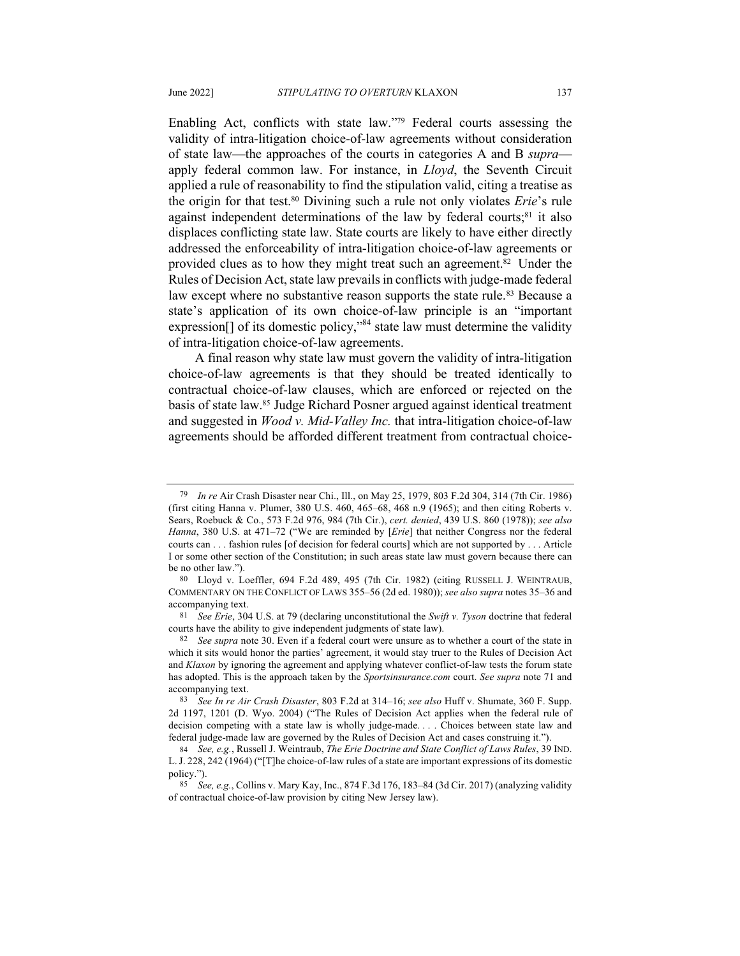Enabling Act, conflicts with state law."79 Federal courts assessing the validity of intra-litigation choice-of-law agreements without consideration of state law—the approaches of the courts in categories A and B *supra* apply federal common law. For instance, in *Lloyd*, the Seventh Circuit applied a rule of reasonability to find the stipulation valid, citing a treatise as the origin for that test.80 Divining such a rule not only violates *Erie*'s rule against independent determinations of the law by federal courts;<sup>81</sup> it also displaces conflicting state law. State courts are likely to have either directly

addressed the enforceability of intra-litigation choice-of-law agreements or provided clues as to how they might treat such an agreement.82 Under the Rules of Decision Act, state law prevails in conflicts with judge-made federal law except where no substantive reason supports the state rule.<sup>83</sup> Because a state's application of its own choice-of-law principle is an "important expression<sup>[]</sup> of its domestic policy,<sup>384</sup> state law must determine the validity of intra-litigation choice-of-law agreements.

A final reason why state law must govern the validity of intra-litigation choice-of-law agreements is that they should be treated identically to contractual choice-of-law clauses, which are enforced or rejected on the basis of state law.85 Judge Richard Posner argued against identical treatment and suggested in *Wood v. Mid-Valley Inc.* that intra-litigation choice-of-law agreements should be afforded different treatment from contractual choice-

<sup>79</sup> *In re* Air Crash Disaster near Chi., Ill., on May 25, 1979, 803 F.2d 304, 314 (7th Cir. 1986) (first citing Hanna v. Plumer, 380 U.S. 460, 465–68, 468 n.9 (1965); and then citing Roberts v. Sears, Roebuck & Co., 573 F.2d 976, 984 (7th Cir.), *cert. denied*, 439 U.S. 860 (1978)); *see also Hanna*, 380 U.S. at 471–72 ("We are reminded by [*Erie*] that neither Congress nor the federal courts can . . . fashion rules [of decision for federal courts] which are not supported by . . . Article I or some other section of the Constitution; in such areas state law must govern because there can be no other law.").

<sup>80</sup> Lloyd v. Loeffler, 694 F.2d 489, 495 (7th Cir. 1982) (citing RUSSELL J. WEINTRAUB, COMMENTARY ON THE CONFLICT OF LAWS 355–56 (2d ed. 1980)); *see also supra* notes 35–36 and accompanying text.

<sup>81</sup> *See Erie*, 304 U.S. at 79 (declaring unconstitutional the *Swift v. Tyson* doctrine that federal courts have the ability to give independent judgments of state law).

<sup>82</sup> *See supra* note 30. Even if a federal court were unsure as to whether a court of the state in which it sits would honor the parties' agreement, it would stay truer to the Rules of Decision Act and *Klaxon* by ignoring the agreement and applying whatever conflict-of-law tests the forum state has adopted. This is the approach taken by the *Sportsinsurance.com* court. *See supra* note 71 and accompanying text.

<sup>83</sup> *See In re Air Crash Disaster*, 803 F.2d at 314–16; *see also* Huff v. Shumate, 360 F. Supp. 2d 1197, 1201 (D. Wyo. 2004) ("The Rules of Decision Act applies when the federal rule of decision competing with a state law is wholly judge-made. . . . Choices between state law and federal judge-made law are governed by the Rules of Decision Act and cases construing it.").

<sup>84</sup> *See, e.g.*, Russell J. Weintraub, *The Erie Doctrine and State Conflict of Laws Rules*, 39 IND. L.J. 228, 242 (1964) ("[T]he choice-of-law rules of a state are important expressions of its domestic policy.").

<sup>85</sup> *See, e.g.*, Collins v. Mary Kay, Inc., 874 F.3d 176, 183–84 (3d Cir. 2017) (analyzing validity of contractual choice-of-law provision by citing New Jersey law).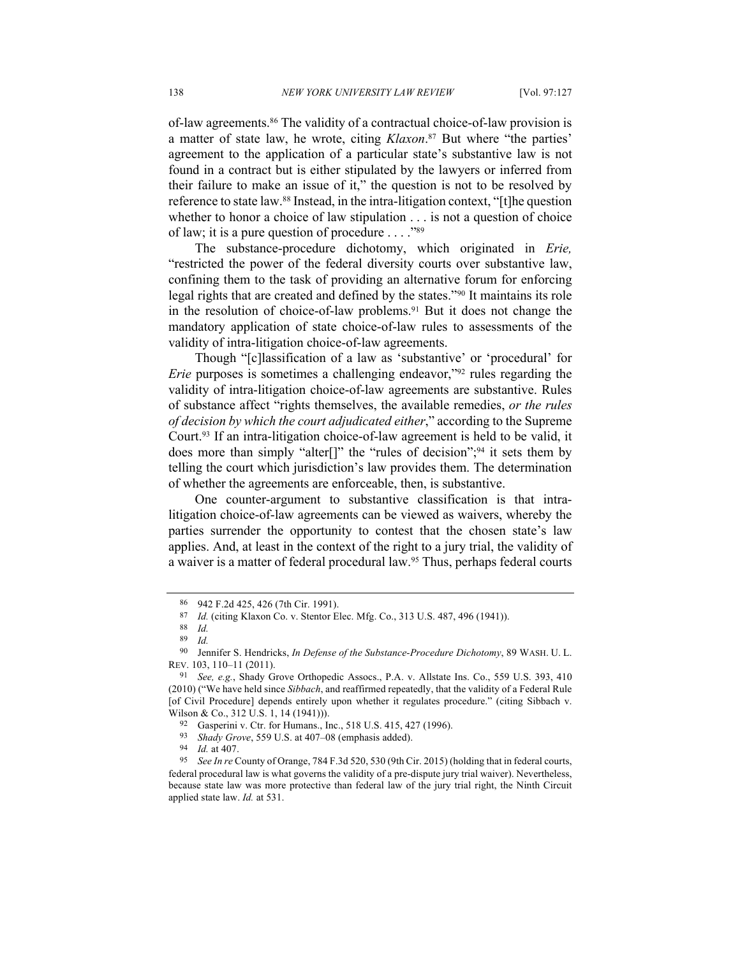of-law agreements.86 The validity of a contractual choice-of-law provision is a matter of state law, he wrote, citing *Klaxon*. <sup>87</sup> But where "the parties' agreement to the application of a particular state's substantive law is not found in a contract but is either stipulated by the lawyers or inferred from their failure to make an issue of it," the question is not to be resolved by reference to state law.88 Instead, in the intra-litigation context, "[t]he question whether to honor a choice of law stipulation . . . is not a question of choice of law; it is a pure question of procedure . . . ."89

The substance-procedure dichotomy, which originated in *Erie,*  "restricted the power of the federal diversity courts over substantive law, confining them to the task of providing an alternative forum for enforcing legal rights that are created and defined by the states."90 It maintains its role in the resolution of choice-of-law problems.91 But it does not change the mandatory application of state choice-of-law rules to assessments of the validity of intra-litigation choice-of-law agreements.

Though "[c]lassification of a law as 'substantive' or 'procedural' for *Erie* purposes is sometimes a challenging endeavor,"<sup>92</sup> rules regarding the validity of intra-litigation choice-of-law agreements are substantive. Rules of substance affect "rights themselves, the available remedies, *or the rules of decision by which the court adjudicated either*," according to the Supreme Court.93 If an intra-litigation choice-of-law agreement is held to be valid, it does more than simply "alter<sup>[]"</sup> the "rules of decision";<sup>94</sup> it sets them by telling the court which jurisdiction's law provides them. The determination of whether the agreements are enforceable, then, is substantive.

One counter-argument to substantive classification is that intralitigation choice-of-law agreements can be viewed as waivers, whereby the parties surrender the opportunity to contest that the chosen state's law applies. And, at least in the context of the right to a jury trial, the validity of a waiver is a matter of federal procedural law.<sup>95</sup> Thus, perhaps federal courts

<sup>86</sup> 942 F.2d 425, 426 (7th Cir. 1991).

<sup>87</sup> *Id.* (citing Klaxon Co. v. Stentor Elec. Mfg. Co., 313 U.S. 487, 496 (1941)).

<sup>88</sup> *Id.*

<sup>89</sup> *Id.*

<sup>90</sup> Jennifer S. Hendricks, *In Defense of the Substance-Procedure Dichotomy*, 89 WASH. U. L. REV. 103, 110–11 (2011).

<sup>91</sup> *See, e.g.*, Shady Grove Orthopedic Assocs., P.A. v. Allstate Ins. Co., 559 U.S. 393, 410 (2010) ("We have held since *Sibbach*, and reaffirmed repeatedly, that the validity of a Federal Rule [of Civil Procedure] depends entirely upon whether it regulates procedure." (citing Sibbach v. Wilson & Co., 312 U.S. 1, 14 (1941))).

<sup>92</sup> Gasperini v. Ctr. for Humans., Inc., 518 U.S. 415, 427 (1996).

<sup>93</sup> *Shady Grove*, 559 U.S. at 407–08 (emphasis added).

*Id.* at 407.

<sup>95</sup> *See In re* County of Orange, 784 F.3d 520, 530 (9th Cir. 2015) (holding that in federal courts, federal procedural law is what governs the validity of a pre-dispute jury trial waiver). Nevertheless, because state law was more protective than federal law of the jury trial right, the Ninth Circuit applied state law. *Id.* at 531.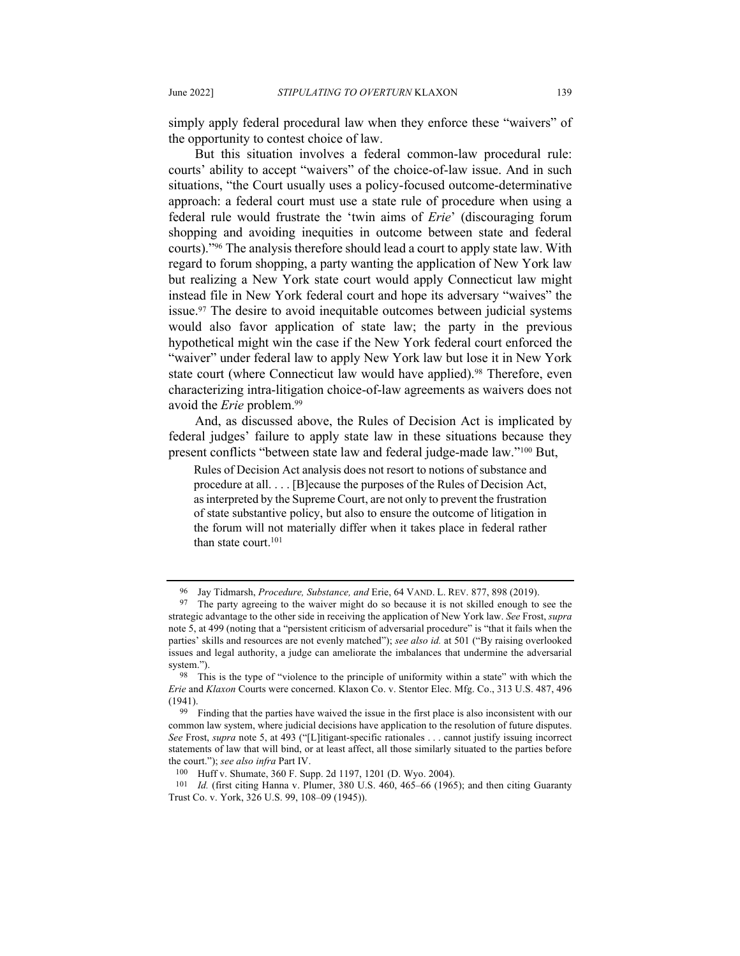simply apply federal procedural law when they enforce these "waivers" of the opportunity to contest choice of law.

But this situation involves a federal common-law procedural rule: courts' ability to accept "waivers" of the choice-of-law issue. And in such situations, "the Court usually uses a policy-focused outcome-determinative approach: a federal court must use a state rule of procedure when using a federal rule would frustrate the 'twin aims of *Erie*' (discouraging forum shopping and avoiding inequities in outcome between state and federal courts)."96 The analysis therefore should lead a court to apply state law. With regard to forum shopping, a party wanting the application of New York law but realizing a New York state court would apply Connecticut law might instead file in New York federal court and hope its adversary "waives" the issue.97 The desire to avoid inequitable outcomes between judicial systems would also favor application of state law; the party in the previous hypothetical might win the case if the New York federal court enforced the "waiver" under federal law to apply New York law but lose it in New York state court (where Connecticut law would have applied).<sup>98</sup> Therefore, even characterizing intra-litigation choice-of-law agreements as waivers does not avoid the *Erie* problem.99

And, as discussed above, the Rules of Decision Act is implicated by federal judges' failure to apply state law in these situations because they present conflicts "between state law and federal judge-made law."100 But,

Rules of Decision Act analysis does not resort to notions of substance and procedure at all. . . . [B]ecause the purposes of the Rules of Decision Act, as interpreted by the Supreme Court, are not only to prevent the frustration of state substantive policy, but also to ensure the outcome of litigation in the forum will not materially differ when it takes place in federal rather than state court.<sup>101</sup>

<sup>96</sup> Jay Tidmarsh, *Procedure, Substance, and* Erie, 64 VAND. L. REV. 877, 898 (2019).

<sup>97</sup> The party agreeing to the waiver might do so because it is not skilled enough to see the strategic advantage to the other side in receiving the application of New York law. *See* Frost, *supra* note 5, at 499 (noting that a "persistent criticism of adversarial procedure" is "that it fails when the parties' skills and resources are not evenly matched"); *see also id.* at 501 ("By raising overlooked issues and legal authority, a judge can ameliorate the imbalances that undermine the adversarial system.").

<sup>98</sup> This is the type of "violence to the principle of uniformity within a state" with which the *Erie* and *Klaxon* Courts were concerned. Klaxon Co. v. Stentor Elec. Mfg. Co., 313 U.S. 487, 496 (1941).

<sup>99</sup> Finding that the parties have waived the issue in the first place is also inconsistent with our common law system, where judicial decisions have application to the resolution of future disputes. *See* Frost, *supra* note 5, at 493 ("[L]itigant-specific rationales . . . cannot justify issuing incorrect statements of law that will bind, or at least affect, all those similarly situated to the parties before the court."); *see also infra* Part IV.

<sup>100</sup> Huff v. Shumate, 360 F. Supp. 2d 1197, 1201 (D. Wyo. 2004).

<sup>101</sup> *Id.* (first citing Hanna v. Plumer, 380 U.S. 460, 465–66 (1965); and then citing Guaranty Trust Co. v. York, 326 U.S. 99, 108–09 (1945)).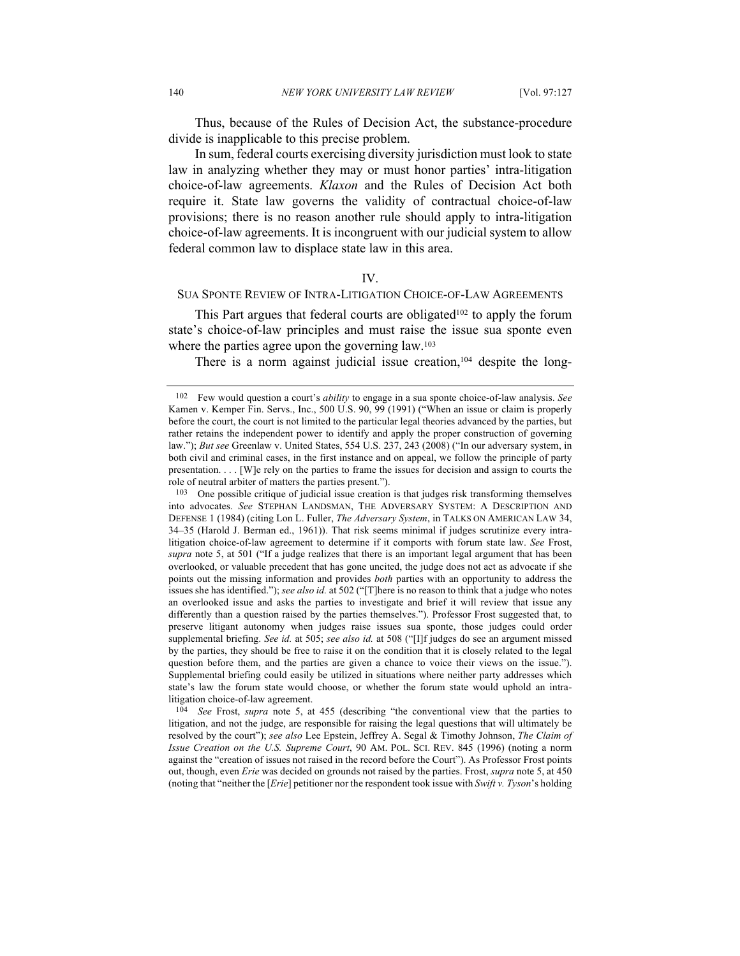Thus, because of the Rules of Decision Act, the substance-procedure divide is inapplicable to this precise problem.

In sum, federal courts exercising diversity jurisdiction must look to state law in analyzing whether they may or must honor parties' intra-litigation choice-of-law agreements. *Klaxon* and the Rules of Decision Act both require it. State law governs the validity of contractual choice-of-law provisions; there is no reason another rule should apply to intra-litigation choice-of-law agreements. It is incongruent with our judicial system to allow federal common law to displace state law in this area.

#### IV.

# SUA SPONTE REVIEW OF INTRA-LITIGATION CHOICE-OF-LAW AGREEMENTS

This Part argues that federal courts are obligated<sup>102</sup> to apply the forum state's choice-of-law principles and must raise the issue sua sponte even where the parties agree upon the governing law.<sup>103</sup>

There is a norm against judicial issue creation, $104$  despite the long-

<sup>102</sup> Few would question a court's *ability* to engage in a sua sponte choice-of-law analysis. *See* Kamen v. Kemper Fin. Servs., Inc., 500 U.S. 90, 99 (1991) ("When an issue or claim is properly before the court, the court is not limited to the particular legal theories advanced by the parties, but rather retains the independent power to identify and apply the proper construction of governing law."); *But see* Greenlaw v. United States, 554 U.S. 237, 243 (2008) ("In our adversary system, in both civil and criminal cases, in the first instance and on appeal, we follow the principle of party presentation. . . . [W]e rely on the parties to frame the issues for decision and assign to courts the role of neutral arbiter of matters the parties present.").

<sup>103</sup> One possible critique of judicial issue creation is that judges risk transforming themselves into advocates. *See* STEPHAN LANDSMAN, THE ADVERSARY SYSTEM: A DESCRIPTION AND DEFENSE 1 (1984) (citing Lon L. Fuller, *The Adversary System*, in TALKS ON AMERICAN LAW 34, 34–35 (Harold J. Berman ed., 1961)). That risk seems minimal if judges scrutinize every intralitigation choice-of-law agreement to determine if it comports with forum state law. *See* Frost, *supra* note 5, at 501 ("If a judge realizes that there is an important legal argument that has been overlooked, or valuable precedent that has gone uncited, the judge does not act as advocate if she points out the missing information and provides *both* parties with an opportunity to address the issues she has identified."); *see also id.* at 502 ("[T]here is no reason to think that a judge who notes an overlooked issue and asks the parties to investigate and brief it will review that issue any differently than a question raised by the parties themselves."). Professor Frost suggested that, to preserve litigant autonomy when judges raise issues sua sponte, those judges could order supplemental briefing. *See id.* at 505; *see also id.* at 508 ("[I]f judges do see an argument missed by the parties, they should be free to raise it on the condition that it is closely related to the legal question before them, and the parties are given a chance to voice their views on the issue."). Supplemental briefing could easily be utilized in situations where neither party addresses which state's law the forum state would choose, or whether the forum state would uphold an intralitigation choice-of-law agreement.

<sup>104</sup> *See* Frost, *supra* note 5, at 455 (describing "the conventional view that the parties to litigation, and not the judge, are responsible for raising the legal questions that will ultimately be resolved by the court"); *see also* Lee Epstein, Jeffrey A. Segal & Timothy Johnson, *The Claim of Issue Creation on the U.S. Supreme Court*, 90 AM. POL. SCI. REV. 845 (1996) (noting a norm against the "creation of issues not raised in the record before the Court"). As Professor Frost points out, though, even *Erie* was decided on grounds not raised by the parties. Frost, *supra* note 5, at 450 (noting that "neither the [*Erie*] petitioner nor the respondent took issue with *Swift v. Tyson*'s holding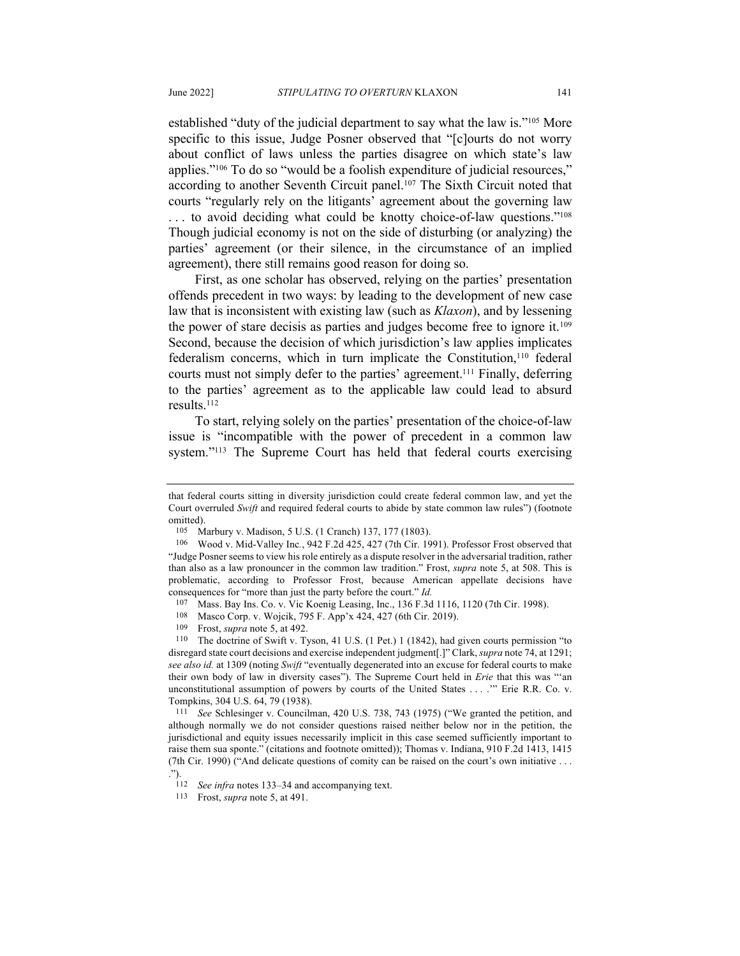established "duty of the judicial department to say what the law is."105 More specific to this issue, Judge Posner observed that "[c]ourts do not worry about conflict of laws unless the parties disagree on which state's law applies."106 To do so "would be a foolish expenditure of judicial resources," according to another Seventh Circuit panel.<sup>107</sup> The Sixth Circuit noted that courts "regularly rely on the litigants' agreement about the governing law ... to avoid deciding what could be knotty choice-of-law questions."<sup>108</sup> Though judicial economy is not on the side of disturbing (or analyzing) the parties' agreement (or their silence, in the circumstance of an implied agreement), there still remains good reason for doing so.

First, as one scholar has observed, relying on the parties' presentation offends precedent in two ways: by leading to the development of new case law that is inconsistent with existing law (such as *Klaxon*), and by lessening the power of stare decisis as parties and judges become free to ignore it.109 Second, because the decision of which jurisdiction's law applies implicates federalism concerns, which in turn implicate the Constitution,<sup>110</sup> federal courts must not simply defer to the parties' agreement.111 Finally, deferring to the parties' agreement as to the applicable law could lead to absurd results.112

To start, relying solely on the parties' presentation of the choice-of-law issue is "incompatible with the power of precedent in a common law system."113 The Supreme Court has held that federal courts exercising

109 Frost, *supra* note 5, at 492.

110 The doctrine of Swift v. Tyson, 41 U.S. (1 Pet.) 1 (1842), had given courts permission "to disregard state court decisions and exercise independent judgment[.]" Clark, *supra* note 74, at 1291; *see also id.* at 1309 (noting *Swift* "eventually degenerated into an excuse for federal courts to make their own body of law in diversity cases"). The Supreme Court held in *Erie* that this was "'an unconstitutional assumption of powers by courts of the United States . . . .'" Erie R.R. Co. v. Tompkins, 304 U.S. 64, 79 (1938).

111 *See* Schlesinger v. Councilman, 420 U.S. 738, 743 (1975) ("We granted the petition, and although normally we do not consider questions raised neither below nor in the petition, the jurisdictional and equity issues necessarily implicit in this case seemed sufficiently important to raise them sua sponte." (citations and footnote omitted)); Thomas v. Indiana, 910 F.2d 1413, 1415 (7th Cir. 1990) ("And delicate questions of comity can be raised on the court's own initiative . . . .").

that federal courts sitting in diversity jurisdiction could create federal common law, and yet the Court overruled *Swift* and required federal courts to abide by state common law rules") (footnote omitted).

<sup>105</sup> Marbury v. Madison, 5 U.S. (1 Cranch) 137, 177 (1803).<br>106 Wood v. Mid Valley Inc., 942 E 2d 425, 427 (7th Cir. 19

<sup>106</sup> Wood v. Mid-Valley Inc*.*, 942 F.2d 425, 427 (7th Cir. 1991). Professor Frost observed that "Judge Posner seems to view his role entirely as a dispute resolver in the adversarial tradition, rather than also as a law pronouncer in the common law tradition." Frost, *supra* note 5, at 508. This is problematic, according to Professor Frost, because American appellate decisions have consequences for "more than just the party before the court." *Id.*

<sup>107</sup> Mass. Bay Ins. Co. v. Vic Koenig Leasing, Inc., 136 F.3d 1116, 1120 (7th Cir. 1998).

<sup>108</sup> Masco Corp. v. Wojcik, 795 F. App'x 424, 427 (6th Cir. 2019).

<sup>112</sup> *See infra* notes 133–34 and accompanying text.

<sup>113</sup> Frost, *supra* note 5, at 491.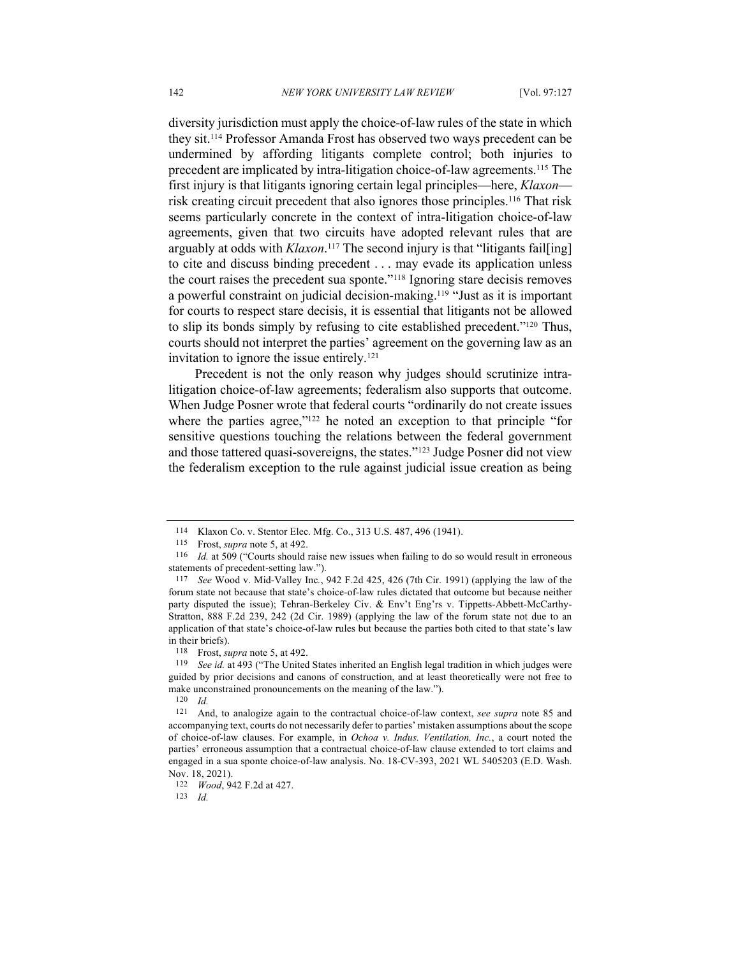diversity jurisdiction must apply the choice-of-law rules of the state in which they sit.114 Professor Amanda Frost has observed two ways precedent can be undermined by affording litigants complete control; both injuries to precedent are implicated by intra-litigation choice-of-law agreements.115 The first injury is that litigants ignoring certain legal principles—here, *Klaxon* risk creating circuit precedent that also ignores those principles.116 That risk seems particularly concrete in the context of intra-litigation choice-of-law agreements, given that two circuits have adopted relevant rules that are arguably at odds with *Klaxon*. <sup>117</sup> The second injury is that "litigants fail[ing] to cite and discuss binding precedent . . . may evade its application unless the court raises the precedent sua sponte."118 Ignoring stare decisis removes a powerful constraint on judicial decision-making.119 "Just as it is important for courts to respect stare decisis, it is essential that litigants not be allowed to slip its bonds simply by refusing to cite established precedent."120 Thus, courts should not interpret the parties' agreement on the governing law as an invitation to ignore the issue entirely.<sup>121</sup>

Precedent is not the only reason why judges should scrutinize intralitigation choice-of-law agreements; federalism also supports that outcome. When Judge Posner wrote that federal courts "ordinarily do not create issues where the parties agree,"<sup>122</sup> he noted an exception to that principle "for sensitive questions touching the relations between the federal government and those tattered quasi-sovereigns, the states."123 Judge Posner did not view the federalism exception to the rule against judicial issue creation as being

*Id.* 

<sup>114</sup> Klaxon Co. v. Stentor Elec. Mfg. Co., 313 U.S. 487, 496 (1941).

<sup>115</sup> Frost, *supra* note 5, at 492.

<sup>116</sup> *Id.* at 509 ("Courts should raise new issues when failing to do so would result in erroneous statements of precedent-setting law.").

<sup>117</sup> *See* Wood v. Mid-Valley Inc*.*, 942 F.2d 425, 426 (7th Cir. 1991) (applying the law of the forum state not because that state's choice-of-law rules dictated that outcome but because neither party disputed the issue); Tehran-Berkeley Civ. & Env't Eng'rs v. Tippetts-Abbett-McCarthy-Stratton, 888 F.2d 239, 242 (2d Cir. 1989) (applying the law of the forum state not due to an application of that state's choice-of-law rules but because the parties both cited to that state's law in their briefs).

<sup>118</sup> Frost, *supra* note 5, at 492.

<sup>119</sup> *See id.* at 493 ("The United States inherited an English legal tradition in which judges were guided by prior decisions and canons of construction, and at least theoretically were not free to make unconstrained pronouncements on the meaning of the law.").

<sup>120</sup> *Id.*

<sup>121</sup> And, to analogize again to the contractual choice-of-law context, *see supra* note 85 and accompanying text, courts do not necessarily defer to parties' mistaken assumptions about the scope of choice-of-law clauses. For example, in *Ochoa v. Indus. Ventilation, Inc.*, a court noted the parties' erroneous assumption that a contractual choice-of-law clause extended to tort claims and engaged in a sua sponte choice-of-law analysis. No. 18-CV-393, 2021 WL 5405203 (E.D. Wash. Nov. 18, 2021).

<sup>122</sup> *Wood*, 942 F.2d at 427.<br>123 *Id*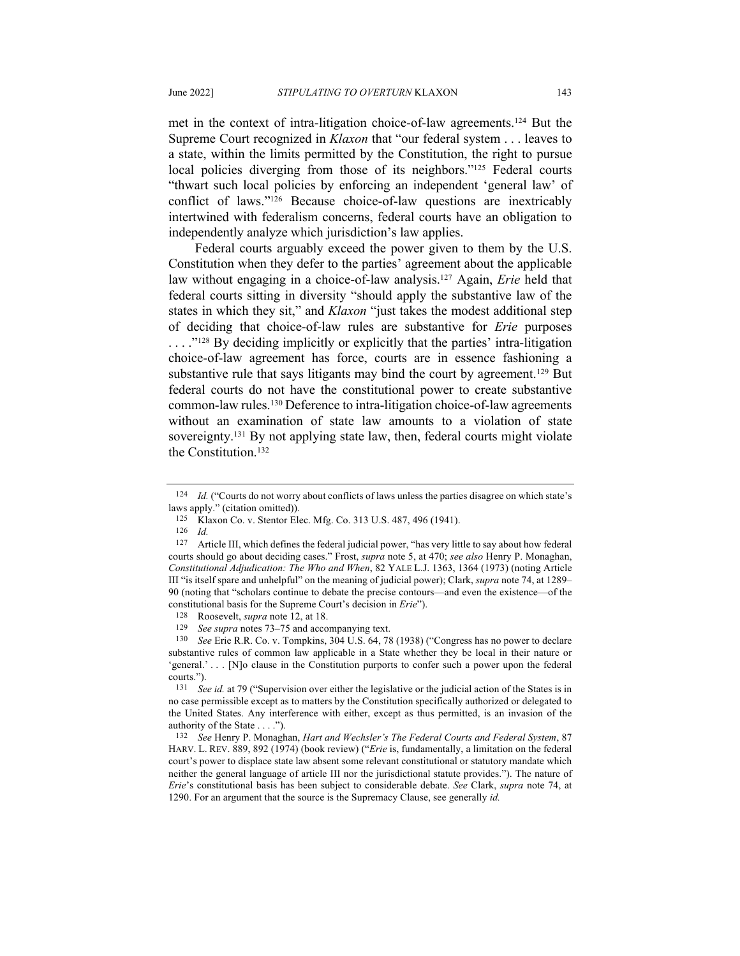met in the context of intra-litigation choice-of-law agreements.124 But the Supreme Court recognized in *Klaxon* that "our federal system . . . leaves to a state, within the limits permitted by the Constitution, the right to pursue local policies diverging from those of its neighbors."<sup>125</sup> Federal courts "thwart such local policies by enforcing an independent 'general law' of conflict of laws."126 Because choice-of-law questions are inextricably intertwined with federalism concerns, federal courts have an obligation to independently analyze which jurisdiction's law applies.

Federal courts arguably exceed the power given to them by the U.S. Constitution when they defer to the parties' agreement about the applicable law without engaging in a choice-of-law analysis.127 Again, *Erie* held that federal courts sitting in diversity "should apply the substantive law of the states in which they sit," and *Klaxon* "just takes the modest additional step of deciding that choice-of-law rules are substantive for *Erie* purposes ... ."<sup>128</sup> By deciding implicitly or explicitly that the parties' intra-litigation choice-of-law agreement has force, courts are in essence fashioning a substantive rule that says litigants may bind the court by agreement.<sup>129</sup> But federal courts do not have the constitutional power to create substantive common-law rules.130 Deference to intra-litigation choice-of-law agreements without an examination of state law amounts to a violation of state sovereignty.131 By not applying state law, then, federal courts might violate the Constitution.<sup>132</sup>

128 Roosevelt, *supra* note 12, at 18.

129 *See supra* notes 73–75 and accompanying text.

<sup>124</sup> *Id.* ("Courts do not worry about conflicts of laws unless the parties disagree on which state's laws apply." (citation omitted)).

<sup>125</sup> Klaxon Co. v. Stentor Elec. Mfg. Co. 313 U.S. 487, 496 (1941).

 $\frac{126}{127}$  *Id.* 

Article III, which defines the federal judicial power, "has very little to say about how federal courts should go about deciding cases." Frost, *supra* note 5, at 470; *see also* Henry P. Monaghan, *Constitutional Adjudication: The Who and When*, 82 YALE L.J. 1363, 1364 (1973) (noting Article III "is itself spare and unhelpful" on the meaning of judicial power); Clark, *supra* note 74, at 1289– 90 (noting that "scholars continue to debate the precise contours—and even the existence—of the constitutional basis for the Supreme Court's decision in *Erie*").

<sup>130</sup> *See* Erie R.R. Co. v. Tompkins, 304 U.S. 64, 78 (1938) ("Congress has no power to declare substantive rules of common law applicable in a State whether they be local in their nature or 'general.' . . . [N]o clause in the Constitution purports to confer such a power upon the federal courts.").

<sup>131</sup> *See id.* at 79 ("Supervision over either the legislative or the judicial action of the States is in no case permissible except as to matters by the Constitution specifically authorized or delegated to the United States. Any interference with either, except as thus permitted, is an invasion of the authority of the State . . . ."). 132 *See* Henry P. Monaghan, *Hart and Wechsler's The Federal Courts and Federal System*, 87

HARV. L. REV. 889, 892 (1974) (book review) ("*Erie* is, fundamentally, a limitation on the federal court's power to displace state law absent some relevant constitutional or statutory mandate which neither the general language of article III nor the jurisdictional statute provides."). The nature of *Erie*'s constitutional basis has been subject to considerable debate. *See* Clark, *supra* note 74, at 1290. For an argument that the source is the Supremacy Clause, see generally *id.*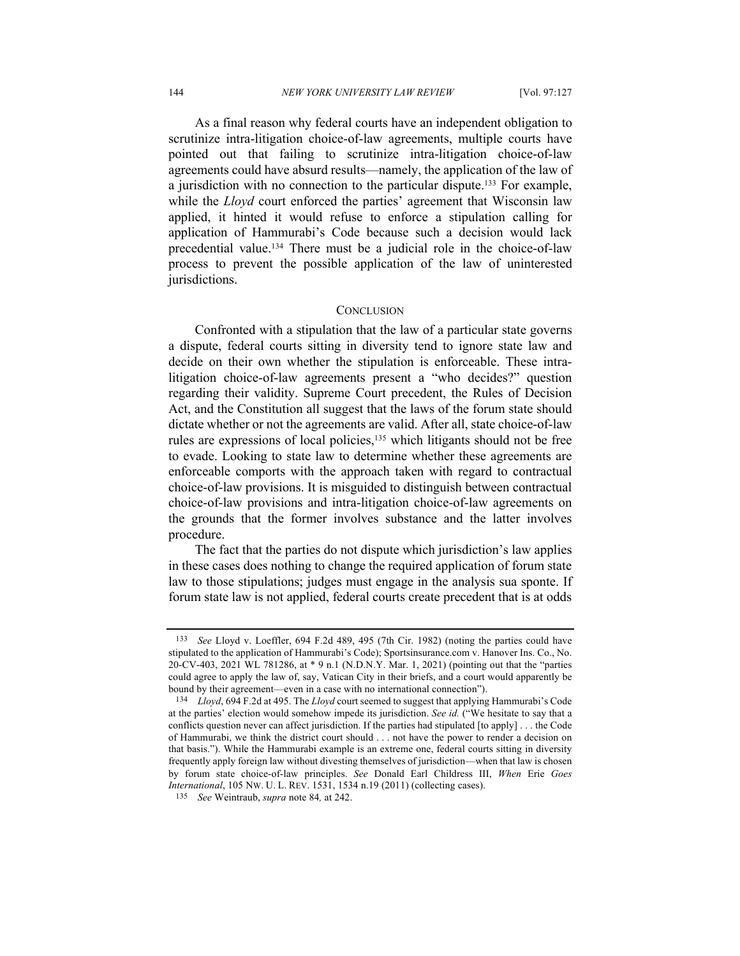As a final reason why federal courts have an independent obligation to scrutinize intra-litigation choice-of-law agreements, multiple courts have pointed out that failing to scrutinize intra-litigation choice-of-law agreements could have absurd results—namely, the application of the law of a jurisdiction with no connection to the particular dispute.133 For example, while the *Lloyd* court enforced the parties' agreement that Wisconsin law applied, it hinted it would refuse to enforce a stipulation calling for application of Hammurabi's Code because such a decision would lack precedential value.134 There must be a judicial role in the choice-of-law process to prevent the possible application of the law of uninterested jurisdictions.

#### **CONCLUSION**

Confronted with a stipulation that the law of a particular state governs a dispute, federal courts sitting in diversity tend to ignore state law and decide on their own whether the stipulation is enforceable. These intralitigation choice-of-law agreements present a "who decides?" question regarding their validity. Supreme Court precedent, the Rules of Decision Act, and the Constitution all suggest that the laws of the forum state should dictate whether or not the agreements are valid. After all, state choice-of-law rules are expressions of local policies,<sup>135</sup> which litigants should not be free to evade. Looking to state law to determine whether these agreements are enforceable comports with the approach taken with regard to contractual choice-of-law provisions. It is misguided to distinguish between contractual choice-of-law provisions and intra-litigation choice-of-law agreements on the grounds that the former involves substance and the latter involves procedure.

The fact that the parties do not dispute which jurisdiction's law applies in these cases does nothing to change the required application of forum state law to those stipulations; judges must engage in the analysis sua sponte. If forum state law is not applied, federal courts create precedent that is at odds

<sup>133</sup> *See* Lloyd v. Loeffler, 694 F.2d 489, 495 (7th Cir. 1982) (noting the parties could have stipulated to the application of Hammurabi's Code); Sportsinsurance.com v. Hanover Ins. Co., No. 20-CV-403, 2021 WL 781286, at \* 9 n.1 (N.D.N.Y. Mar. 1, 2021) (pointing out that the "parties could agree to apply the law of, say, Vatican City in their briefs, and a court would apparently be bound by their agreement—even in a case with no international connection").

<sup>134</sup> *Lloyd*, 694 F.2d at 495. The *Lloyd* court seemed to suggest that applying Hammurabi's Code at the parties' election would somehow impede its jurisdiction. *See id.* ("We hesitate to say that a conflicts question never can affect jurisdiction. If the parties had stipulated [to apply] . . . the Code of Hammurabi, we think the district court should . . . not have the power to render a decision on that basis."). While the Hammurabi example is an extreme one, federal courts sitting in diversity frequently apply foreign law without divesting themselves of jurisdiction—when that law is chosen by forum state choice-of-law principles. *See* Donald Earl Childress III, *When* Erie *Goes International*, 105 NW. U. L. REV. 1531, 1534 n.19 (2011) (collecting cases).

<sup>135</sup> *See* Weintraub, *supra* note 84*,* at 242.